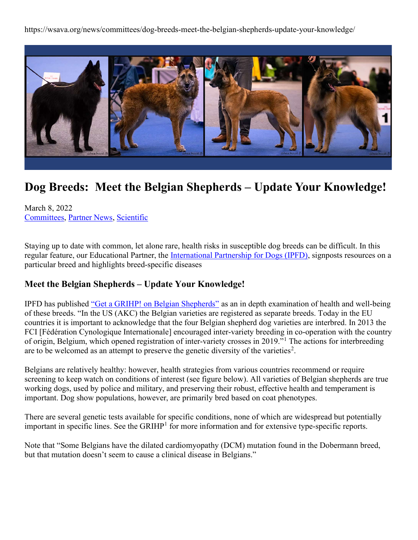https://wsava.org/news/committees/dog-breeds-meet-the-belgian-shepherds-update-your-knowledge/



## Dog Breeds: Meet the Belgian Shepherds – Update Your Knowledge!

March 8, 2022 Committees, Partner News, Scientific

Staying up to date with common, let alone rare, health risks in susceptible dog breeds can be difficult. In this regular feature, our Educational Partner, the International Partnership for Dogs (IPFD), signposts resources on a particular breed and highlights breed-specific diseases

## Meet the Belgian Shepherds – Update Your Knowledge!

IPFD has published "Get a GRIHP! on Belgian Shepherds" as an in depth examination of health and well-being of these breeds. "In the US (AKC) the Belgian varieties are registered as separate breeds. Today in the EU countries it is important to acknowledge that the four Belgian shepherd dog varieties are interbred. In 2013 the FCI [Fédération Cynologique Internationale] encouraged inter-variety breeding in co-operation with the country of origin, Belgium, which opened registration of inter-variety crosses in 2019."<sup>1</sup> The actions for interbreeding are to be welcomed as an attempt to preserve the genetic diversity of the varieties<sup>2</sup>.

Belgians are relatively healthy: however, health strategies from various countries recommend or require screening to keep watch on conditions of interest (see figure below). All varieties of Belgian shepherds are true working dogs, used by police and military, and preserving their robust, effective health and temperament is important. Dog show populations, however, are primarily bred based on coat phenotypes.

There are several genetic tests available for specific conditions, none of which are widespread but potentially important in specific lines. See the GRIHP<sup>1</sup> for more information and for extensive type-specific reports.

Note that "Some Belgians have the dilated cardiomyopathy (DCM) mutation found in the Dobermann breed, but that mutation doesn't seem to cause a clinical disease in Belgians."